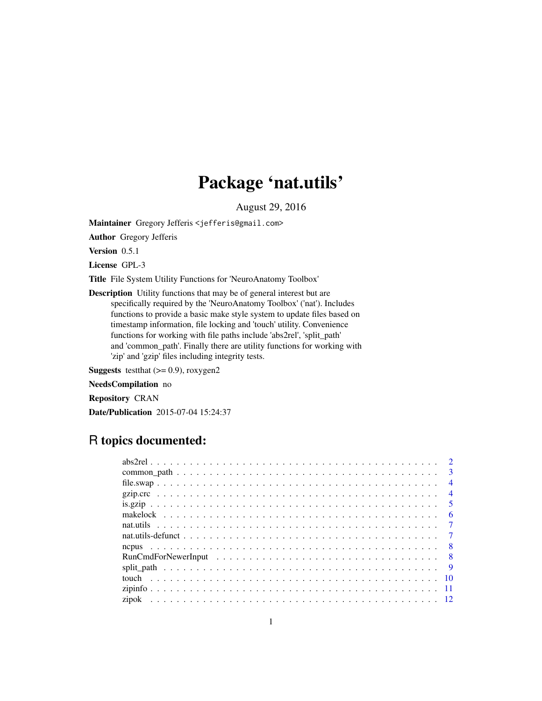# Package 'nat.utils'

August 29, 2016

<span id="page-0-0"></span>Maintainer Gregory Jefferis <jefferis@gmail.com>

Author Gregory Jefferis

Version 0.5.1

License GPL-3

Title File System Utility Functions for 'NeuroAnatomy Toolbox'

Description Utility functions that may be of general interest but are specifically required by the 'NeuroAnatomy Toolbox' ('nat'). Includes functions to provide a basic make style system to update files based on timestamp information, file locking and 'touch' utility. Convenience functions for working with file paths include 'abs2rel', 'split\_path' and 'common\_path'. Finally there are utility functions for working with 'zip' and 'gzip' files including integrity tests.

**Suggests** testthat  $(>= 0.9)$ , roxygen2

NeedsCompilation no

Repository CRAN

Date/Publication 2015-07-04 15:24:37

# R topics documented:

|  |  |  |  |  |  |  |  |  |  |  |  |  |  |  | $\overline{\mathbf{3}}$ |
|--|--|--|--|--|--|--|--|--|--|--|--|--|--|--|-------------------------|
|  |  |  |  |  |  |  |  |  |  |  |  |  |  |  | $\overline{4}$          |
|  |  |  |  |  |  |  |  |  |  |  |  |  |  |  | $\overline{4}$          |
|  |  |  |  |  |  |  |  |  |  |  |  |  |  |  |                         |
|  |  |  |  |  |  |  |  |  |  |  |  |  |  |  | - 6                     |
|  |  |  |  |  |  |  |  |  |  |  |  |  |  |  |                         |
|  |  |  |  |  |  |  |  |  |  |  |  |  |  |  |                         |
|  |  |  |  |  |  |  |  |  |  |  |  |  |  |  |                         |
|  |  |  |  |  |  |  |  |  |  |  |  |  |  |  |                         |
|  |  |  |  |  |  |  |  |  |  |  |  |  |  |  |                         |
|  |  |  |  |  |  |  |  |  |  |  |  |  |  |  |                         |
|  |  |  |  |  |  |  |  |  |  |  |  |  |  |  |                         |
|  |  |  |  |  |  |  |  |  |  |  |  |  |  |  |                         |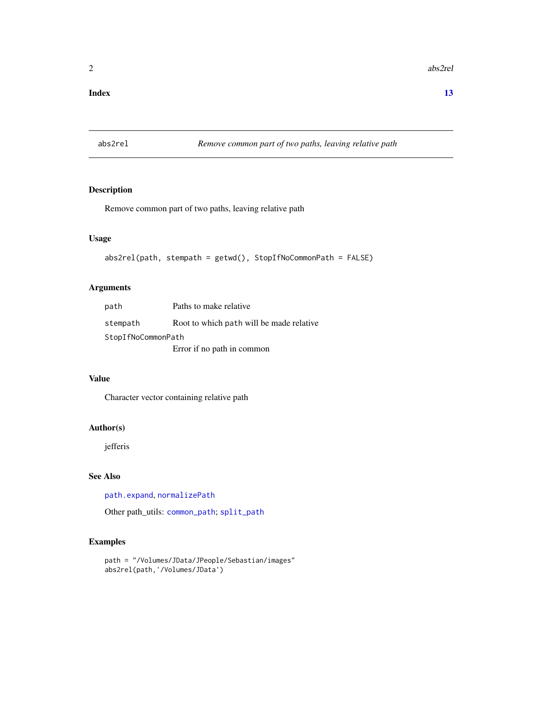#### <span id="page-1-0"></span>**Index** [13](#page-12-0)

<span id="page-1-1"></span>abs2rel *Remove common part of two paths, leaving relative path*

# Description

Remove common part of two paths, leaving relative path

# Usage

```
abs2rel(path, stempath = getwd(), StopIfNoCommonPath = FALSE)
```
### Arguments

| path               | Paths to make relative                   |
|--------------------|------------------------------------------|
| stempath           | Root to which path will be made relative |
| StopIfNoCommonPath |                                          |
|                    | Error if no path in common               |

#### Value

Character vector containing relative path

#### Author(s)

jefferis

#### See Also

[path.expand](#page-0-0), [normalizePath](#page-0-0)

Other path\_utils: [common\\_path](#page-2-1); [split\\_path](#page-8-1)

```
path = "/Volumes/JData/JPeople/Sebastian/images"
abs2rel(path,'/Volumes/JData')
```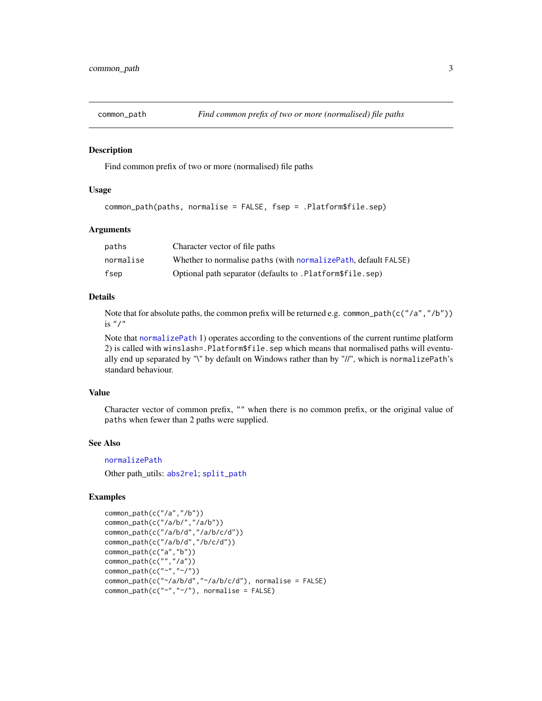<span id="page-2-1"></span><span id="page-2-0"></span>

Find common prefix of two or more (normalised) file paths

#### Usage

common\_path(paths, normalise = FALSE, fsep = .Platform\$file.sep)

# Arguments

| paths     | Character vector of file paths                                  |
|-----------|-----------------------------------------------------------------|
| normalise | Whether to normalise paths (with normalize Path, default FALSE) |
| fsep      | Optional path separator (defaults to .Platform\$file.sep)       |

# Details

Note that for absolute paths, the common prefix will be returned e.g. common\_path(c("/a","/b")) is  $"$  /"

Note that [normalizePath](#page-0-0) 1) operates according to the conventions of the current runtime platform 2) is called with winslash=.Platform\$file.sep which means that normalised paths will eventually end up separated by "\" by default on Windows rather than by "//", which is normalizePath's standard behaviour.

#### Value

Character vector of common prefix, "" when there is no common prefix, or the original value of paths when fewer than 2 paths were supplied.

#### See Also

[normalizePath](#page-0-0)

Other path\_utils: [abs2rel](#page-1-1); [split\\_path](#page-8-1)

```
common_path(c("/a","/b"))
common_path(c("/a/b/","/a/b"))
common_path(c("/a/b/d","/a/b/c/d"))
common_path(c("/a/b/d","/b/c/d"))
common_path(c("a","b"))
common_path(c("","/a"))
common_path(c("~","~/"))
common_path(c("~/a/b/d","~/a/b/c/d"), normalise = FALSE)
common\_path(c("~"~,"~'''), normalise = FALSE)
```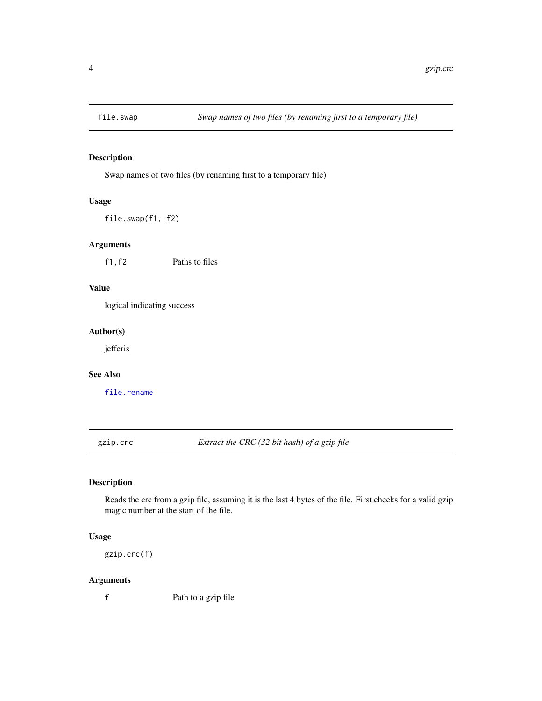<span id="page-3-0"></span>

Swap names of two files (by renaming first to a temporary file)

#### Usage

file.swap(f1, f2)

# Arguments

f1,f2 Paths to files

# Value

logical indicating success

# Author(s)

jefferis

# See Also

[file.rename](#page-0-0)

gzip.crc *Extract the CRC (32 bit hash) of a gzip file*

# Description

Reads the crc from a gzip file, assuming it is the last 4 bytes of the file. First checks for a valid gzip magic number at the start of the file.

#### Usage

gzip.crc(f)

#### Arguments

f Path to a gzip file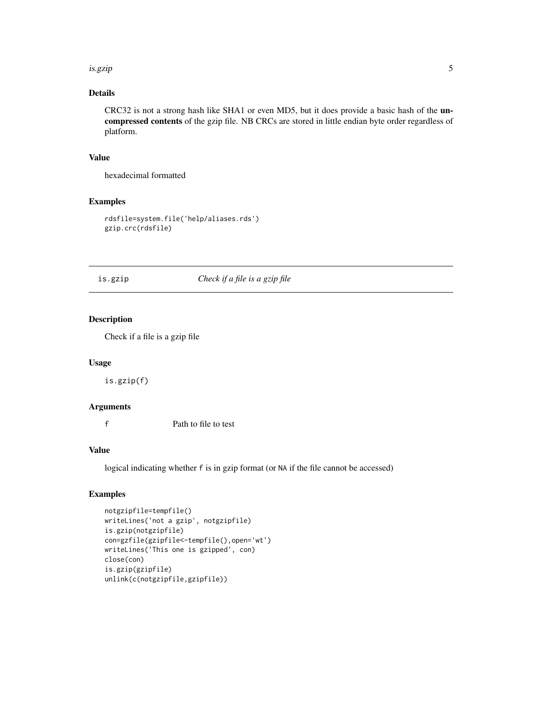#### <span id="page-4-0"></span>is.gzip 5

# Details

CRC32 is not a strong hash like SHA1 or even MD5, but it does provide a basic hash of the uncompressed contents of the gzip file. NB CRCs are stored in little endian byte order regardless of platform.

# Value

hexadecimal formatted

# Examples

```
rdsfile=system.file('help/aliases.rds')
gzip.crc(rdsfile)
```
# is.gzip *Check if a file is a gzip file*

# Description

Check if a file is a gzip file

# Usage

is.gzip(f)

#### Arguments

f Path to file to test

#### Value

logical indicating whether f is in gzip format (or NA if the file cannot be accessed)

```
notgzipfile=tempfile()
writeLines('not a gzip', notgzipfile)
is.gzip(notgzipfile)
con=gzfile(gzipfile<-tempfile(),open='wt')
writeLines('This one is gzipped', con)
close(con)
is.gzip(gzipfile)
unlink(c(notgzipfile,gzipfile))
```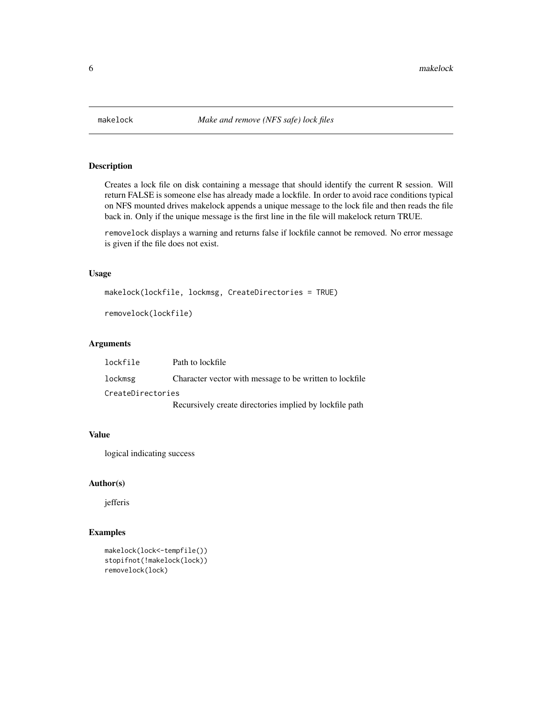<span id="page-5-1"></span><span id="page-5-0"></span>

Creates a lock file on disk containing a message that should identify the current R session. Will return FALSE is someone else has already made a lockfile. In order to avoid race conditions typical on NFS mounted drives makelock appends a unique message to the lock file and then reads the file back in. Only if the unique message is the first line in the file will makelock return TRUE.

removelock displays a warning and returns false if lockfile cannot be removed. No error message is given if the file does not exist.

#### Usage

makelock(lockfile, lockmsg, CreateDirectories = TRUE)

```
removelock(lockfile)
```
#### Arguments

| lockfile          | Path to lockfile                                        |
|-------------------|---------------------------------------------------------|
| lockmsg           | Character vector with message to be written to lockfile |
| CreateDirectories |                                                         |
|                   | Recursively create directories implied by lockfile path |

#### Value

logical indicating success

#### Author(s)

jefferis

```
makelock(lock<-tempfile())
stopifnot(!makelock(lock))
removelock(lock)
```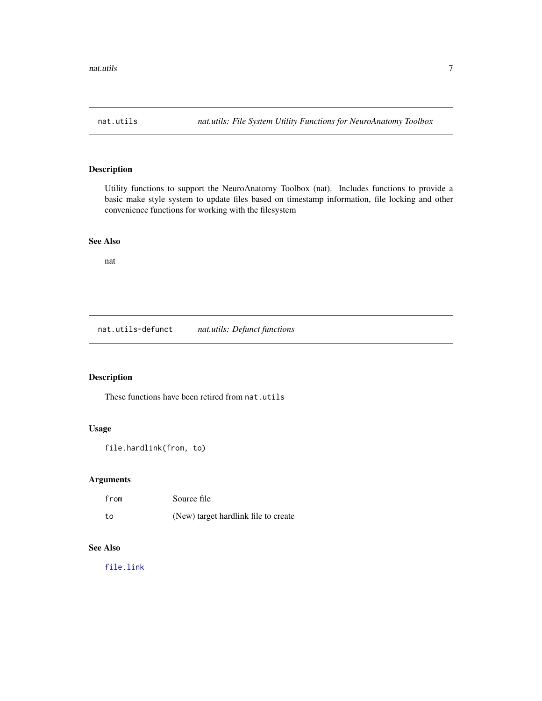<span id="page-6-0"></span>

Utility functions to support the NeuroAnatomy Toolbox (nat). Includes functions to provide a basic make style system to update files based on timestamp information, file locking and other convenience functions for working with the filesystem

#### See Also

nat

nat.utils-defunct *nat.utils: Defunct functions*

# Description

These functions have been retired from nat.utils

# Usage

```
file.hardlink(from, to)
```
# Arguments

| from | Source file                          |
|------|--------------------------------------|
| to   | (New) target hardlink file to create |

# See Also

[file.link](#page-0-0)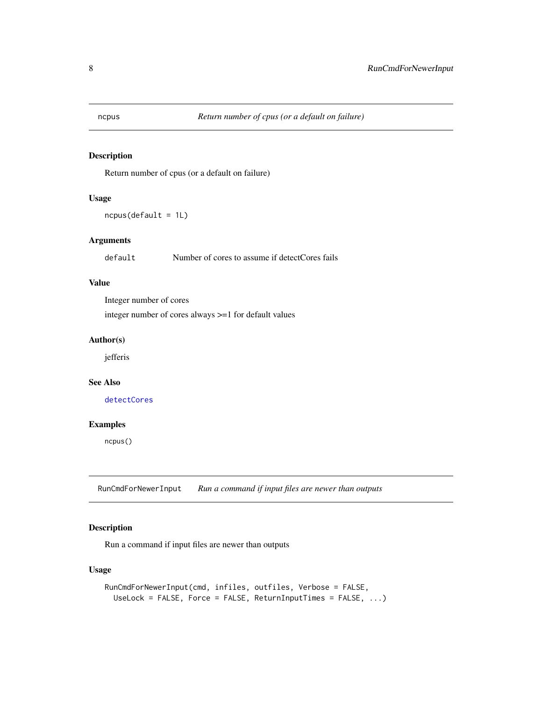<span id="page-7-0"></span>

Return number of cpus (or a default on failure)

#### Usage

ncpus(default = 1L)

# Arguments

default Number of cores to assume if detectCores fails

# Value

Integer number of cores

integer number of cores always >=1 for default values

#### Author(s)

jefferis

# See Also

[detectCores](#page-0-0)

### Examples

ncpus()

RunCmdForNewerInput *Run a command if input files are newer than outputs*

# Description

Run a command if input files are newer than outputs

# Usage

```
RunCmdForNewerInput(cmd, infiles, outfiles, Verbose = FALSE,
 UseLock = FALSE, Force = FALSE, ReturnInputTimes = FALSE, ...)
```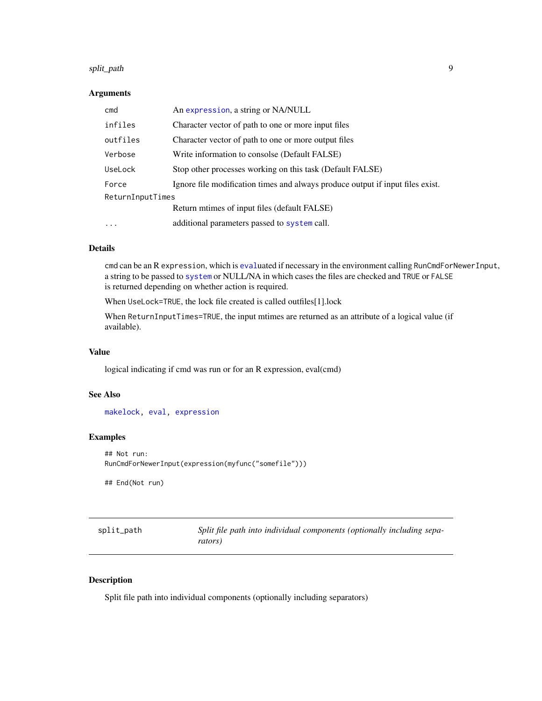#### <span id="page-8-0"></span>split\_path 9

#### Arguments

| cmd              | An expression, a string or NA/NULL                                             |
|------------------|--------------------------------------------------------------------------------|
| infiles          | Character vector of path to one or more input files                            |
| outfiles         | Character vector of path to one or more output files                           |
| Verbose          | Write information to consolse (Default FALSE)                                  |
| UseLock          | Stop other processes working on this task (Default FALSE)                      |
| Force            | Ignore file modification times and always produce output if input files exist. |
| ReturnInputTimes |                                                                                |
|                  | Return mtimes of input files (default FALSE)                                   |
| $\ddotsc$        | additional parameters passed to system call.                                   |

# Details

cmd can be an R expression, which is [eval](#page-0-0)uated if necessary in the environment calling RunCmdForNewerInput, a string to be passed to [system](#page-0-0) or NULL/NA in which cases the files are checked and TRUE or FALSE is returned depending on whether action is required.

When UseLock=TRUE, the lock file created is called outfiles[1].lock

When ReturnInputTimes=TRUE, the input mtimes are returned as an attribute of a logical value (if available).

#### Value

logical indicating if cmd was run or for an R expression, eval(cmd)

#### See Also

[makelock,](#page-5-1) [eval,](#page-0-0) [expression](#page-0-0)

#### Examples

```
## Not run:
RunCmdForNewerInput(expression(myfunc("somefile")))
```
## End(Not run)

<span id="page-8-1"></span>

| split_path | Split file path into individual components (optionally including sepa- |
|------------|------------------------------------------------------------------------|
|            | rators)                                                                |

# Description

Split file path into individual components (optionally including separators)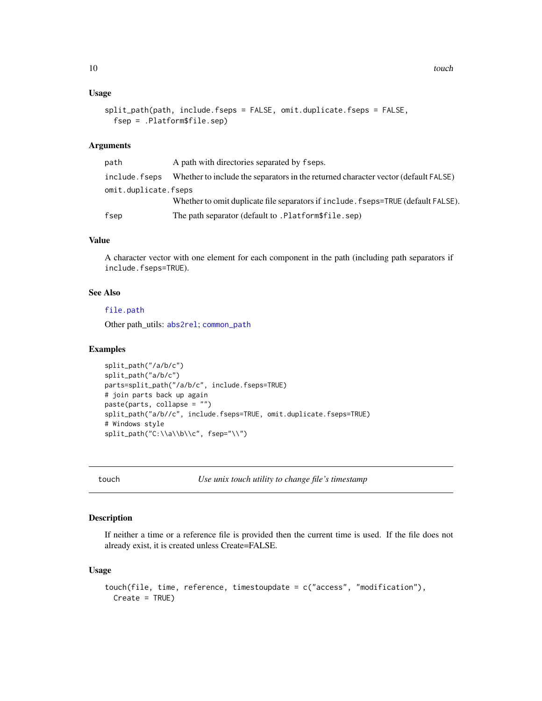#### <span id="page-9-0"></span>Usage

```
split_path(path, include.fseps = FALSE, omit.duplicate.fseps = FALSE,
 fsep = .Platform$file.sep)
```
# Arguments

| path                 | A path with directories separated by fseps.                                        |
|----------------------|------------------------------------------------------------------------------------|
| include.fseps        | Whether to include the separators in the returned character vector (default FALSE) |
| omit.duplicate.fseps |                                                                                    |
|                      | Whether to omit duplicate file separators if include. fseps=TRUE (default FALSE).  |
| fsep                 | The path separator (default to .Platform\$file.sep)                                |

#### Value

A character vector with one element for each component in the path (including path separators if include.fseps=TRUE).

### See Also

#### [file.path](#page-0-0)

Other path\_utils: [abs2rel](#page-1-1); [common\\_path](#page-2-1)

#### Examples

```
split_path("/a/b/c")
split_path("a/b/c")
parts=split_path("/a/b/c", include.fseps=TRUE)
# join parts back up again
paste(parts, collapse = "")
split_path("a/b//c", include.fseps=TRUE, omit.duplicate.fseps=TRUE)
# Windows style
split_path("C:\\a\\b\\c", fsep="\\")
```
touch *Use unix touch utility to change file's timestamp*

# Description

If neither a time or a reference file is provided then the current time is used. If the file does not already exist, it is created unless Create=FALSE.

#### Usage

```
touch(file, time, reference, timestoupdate = c("access", "modification"),
 Create = TRUE)
```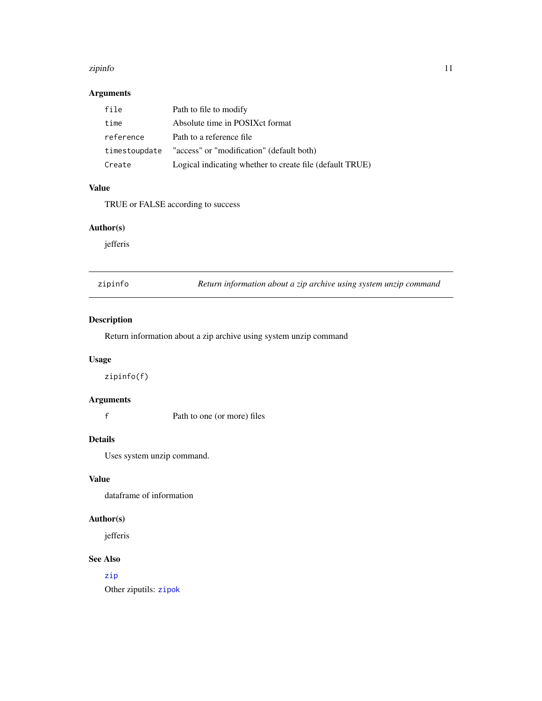#### <span id="page-10-0"></span>zipinfo termini alternativa alternativa alternativa alternativa alternativa alternativa alternativa alternativ

# Arguments

| file          | Path to file to modify                                   |
|---------------|----------------------------------------------------------|
| time          | Absolute time in POSIX ct format                         |
| reference     | Path to a reference file                                 |
| timestoupdate | "access" or "modification" (default both)                |
| Create        | Logical indicating whether to create file (default TRUE) |

#### Value

TRUE or FALSE according to success

# Author(s)

jefferis

<span id="page-10-1"></span>

|  | zipinto |  |
|--|---------|--|

Return information about a zip archive using system unzip command

# Description

Return information about a zip archive using system unzip command

# Usage

zipinfo(f)

# Arguments

f Path to one (or more) files

# Details

Uses system unzip command.

### Value

dataframe of information

# Author(s)

jefferis

# See Also

# [zip](#page-0-0)

Other ziputils: [zipok](#page-11-1)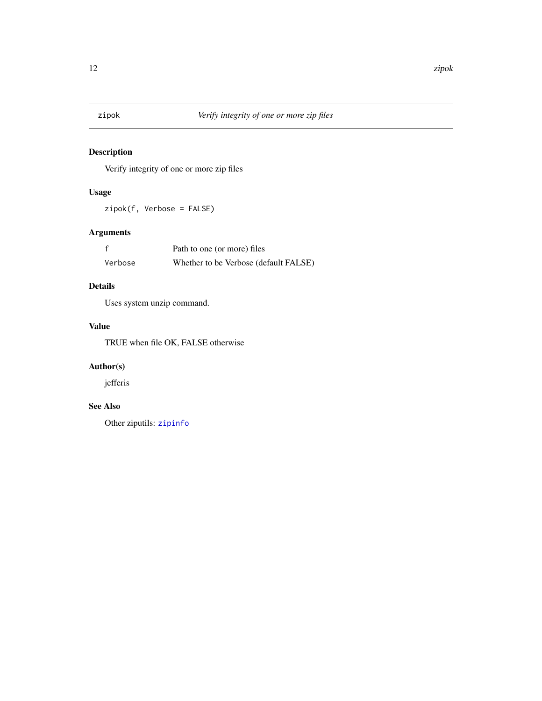<span id="page-11-1"></span><span id="page-11-0"></span>

Verify integrity of one or more zip files

# Usage

zipok(f, Verbose = FALSE)

# Arguments

|         | Path to one (or more) files           |
|---------|---------------------------------------|
| Verbose | Whether to be Verbose (default FALSE) |

# Details

Uses system unzip command.

# Value

TRUE when file OK, FALSE otherwise

# Author(s)

jefferis

# See Also

Other ziputils: [zipinfo](#page-10-1)